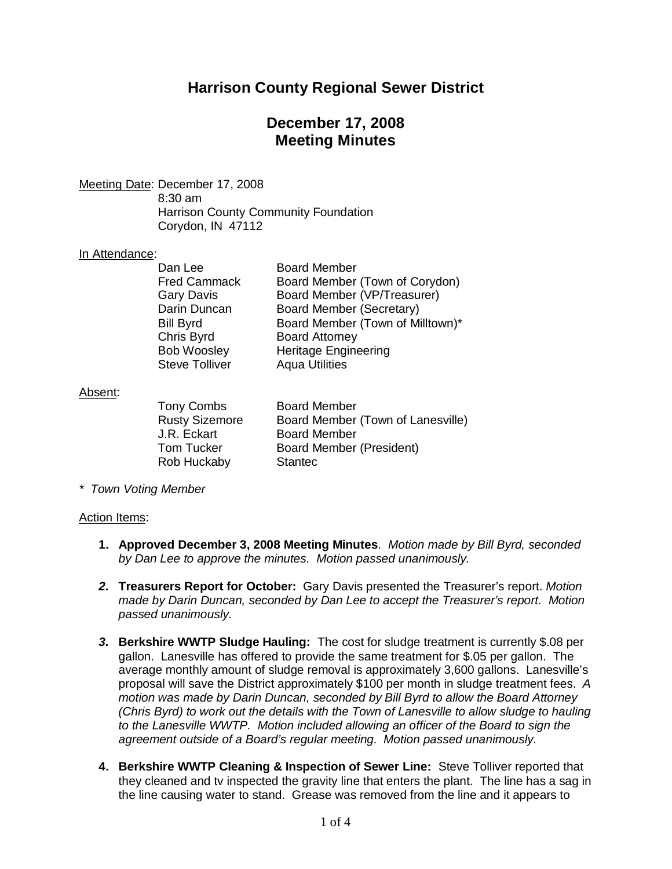# **Harrison County Regional Sewer District**

# **December 17, 2008 Meeting Minutes**

Meeting Date: December 17, 2008

8:30 am Harrison County Community Foundation Corydon, IN 47112

#### In Attendance:

| <b>Board Member</b>              |
|----------------------------------|
|                                  |
| Board Member (Town of Corydon)   |
| Board Member (VP/Treasurer)      |
| Board Member (Secretary)         |
| Board Member (Town of Milltown)* |
| <b>Board Attorney</b>            |
| <b>Heritage Engineering</b>      |
| <b>Aqua Utilities</b>            |
|                                  |

#### Absent:

J.R. Eckart Board Member Rob Huckaby Stantec

Tony Combs **Board Member** Rusty Sizemore Board Member (Town of Lanesville) Tom Tucker Board Member (President)

*\* Town Voting Member*

## Action Items:

- **1. Approved December 3, 2008 Meeting Minutes**. *Motion made by Bill Byrd, seconded by Dan Lee to approve the minutes. Motion passed unanimously.*
- *2.* **Treasurers Report for October:** Gary Davis presented the Treasurer's report. *Motion made by Darin Duncan, seconded by Dan Lee to accept the Treasurer's report. Motion passed unanimously.*
- *3.* **Berkshire WWTP Sludge Hauling:** The cost for sludge treatment is currently \$.08 per gallon. Lanesville has offered to provide the same treatment for \$.05 per gallon. The average monthly amount of sludge removal is approximately 3,600 gallons. Lanesville's proposal will save the District approximately \$100 per month in sludge treatment fees. *A motion was made by Darin Duncan, seconded by Bill Byrd to allow the Board Attorney (Chris Byrd) to work out the details with the Town of Lanesville to allow sludge to hauling to the Lanesville WWTP. Motion included allowing an officer of the Board to sign the agreement outside of a Board's regular meeting. Motion passed unanimously.*
- **4. Berkshire WWTP Cleaning & Inspection of Sewer Line:** Steve Tolliver reported that they cleaned and tv inspected the gravity line that enters the plant. The line has a sag in the line causing water to stand. Grease was removed from the line and it appears to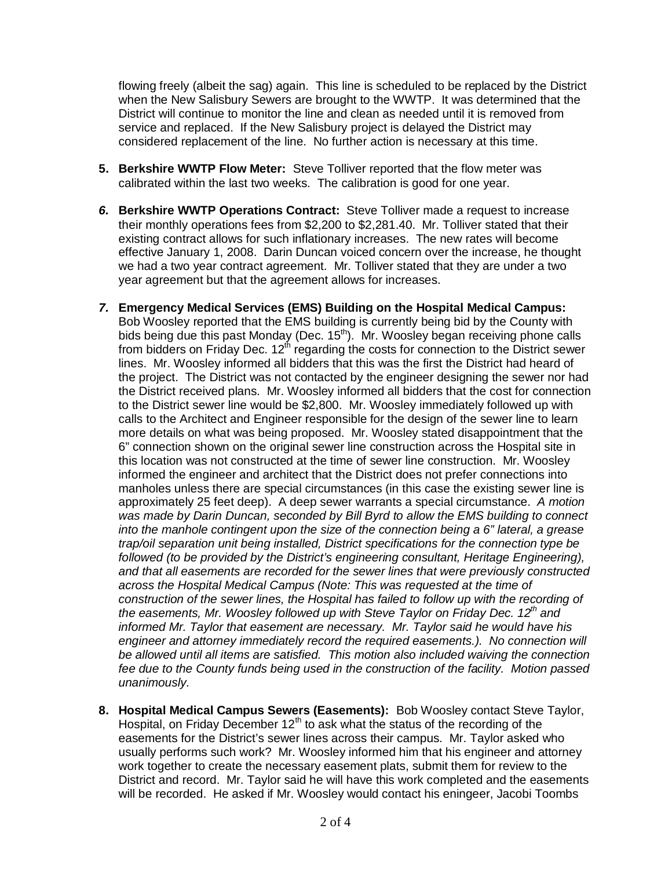flowing freely (albeit the sag) again. This line is scheduled to be replaced by the District when the New Salisbury Sewers are brought to the WWTP. It was determined that the District will continue to monitor the line and clean as needed until it is removed from service and replaced. If the New Salisbury project is delayed the District may considered replacement of the line. No further action is necessary at this time.

- **5. Berkshire WWTP Flow Meter:** Steve Tolliver reported that the flow meter was calibrated within the last two weeks. The calibration is good for one year.
- *6.* **Berkshire WWTP Operations Contract:** Steve Tolliver made a request to increase their monthly operations fees from \$2,200 to \$2,281.40. Mr. Tolliver stated that their existing contract allows for such inflationary increases. The new rates will become effective January 1, 2008. Darin Duncan voiced concern over the increase, he thought we had a two year contract agreement. Mr. Tolliver stated that they are under a two year agreement but that the agreement allows for increases.
- *7.* **Emergency Medical Services (EMS) Building on the Hospital Medical Campus:** Bob Woosley reported that the EMS building is currently being bid by the County with bids being due this past Monday (Dec. 15<sup>th</sup>). Mr. Woosley began receiving phone calls from bidders on Friday Dec.  $12<sup>th</sup>$  regarding the costs for connection to the District sewer lines. Mr. Woosley informed all bidders that this was the first the District had heard of the project. The District was not contacted by the engineer designing the sewer nor had the District received plans. Mr. Woosley informed all bidders that the cost for connection to the District sewer line would be \$2,800. Mr. Woosley immediately followed up with calls to the Architect and Engineer responsible for the design of the sewer line to learn more details on what was being proposed. Mr. Woosley stated disappointment that the 6" connection shown on the original sewer line construction across the Hospital site in this location was not constructed at the time of sewer line construction. Mr. Woosley informed the engineer and architect that the District does not prefer connections into manholes unless there are special circumstances (in this case the existing sewer line is approximately 25 feet deep). A deep sewer warrants a special circumstance. *A motion was made by Darin Duncan, seconded by Bill Byrd to allow the EMS building to connect into the manhole contingent upon the size of the connection being a 6" lateral, a grease trap/oil separation unit being installed, District specifications for the connection type be*  followed (to be provided by the District's engineering consultant, Heritage Engineering), *and that all easements are recorded for the sewer lines that were previously constructed across the Hospital Medical Campus (Note: This was requested at the time of*  construction of the sewer lines, the Hospital has failed to follow up with the recording of *the easements, Mr. Woosley followed up with Steve Taylor on Friday Dec. 12th and informed Mr. Taylor that easement are necessary. Mr. Taylor said he would have his engineer and attorney immediately record the required easements.). No connection will be allowed until all items are satisfied. This motion also included waiving the connection fee due to the County funds being used in the construction of the facility. Motion passed unanimously.*
- **8. Hospital Medical Campus Sewers (Easements):** Bob Woosley contact Steve Taylor, Hospital, on Friday December  $12<sup>th</sup>$  to ask what the status of the recording of the easements for the District's sewer lines across their campus. Mr. Taylor asked who usually performs such work? Mr. Woosley informed him that his engineer and attorney work together to create the necessary easement plats, submit them for review to the District and record. Mr. Taylor said he will have this work completed and the easements will be recorded. He asked if Mr. Woosley would contact his eningeer, Jacobi Toombs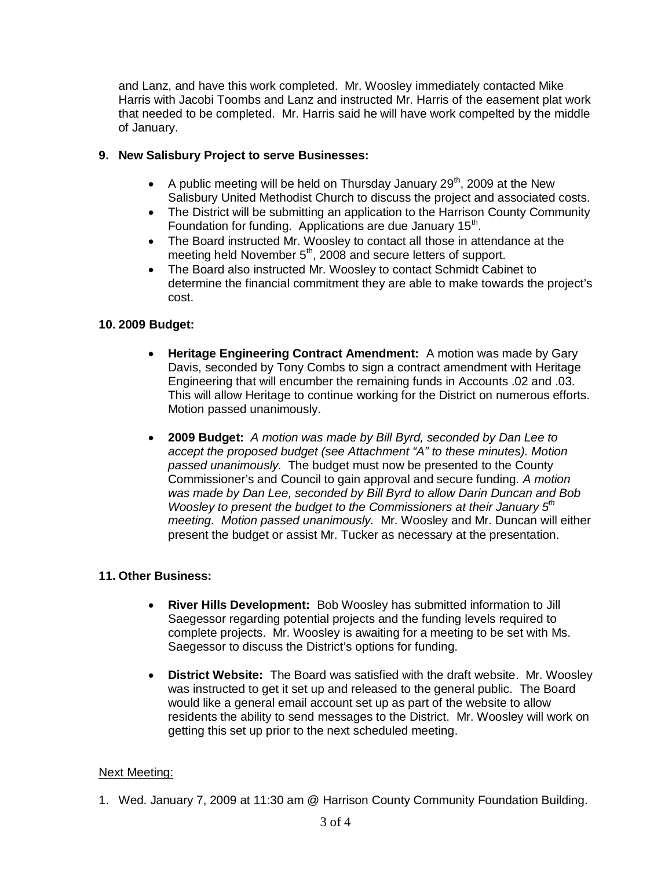and Lanz, and have this work completed. Mr. Woosley immediately contacted Mike Harris with Jacobi Toombs and Lanz and instructed Mr. Harris of the easement plat work that needed to be completed. Mr. Harris said he will have work compelted by the middle of January.

# **9. New Salisbury Project to serve Businesses:**

- A public meeting will be held on Thursday January  $29<sup>th</sup>$ , 2009 at the New Salisbury United Methodist Church to discuss the project and associated costs.
- The District will be submitting an application to the Harrison County Community Foundation for funding. Applications are due January 15<sup>th</sup>.
- · The Board instructed Mr. Woosley to contact all those in attendance at the meeting held November 5<sup>th</sup>, 2008 and secure letters of support.
- · The Board also instructed Mr. Woosley to contact Schmidt Cabinet to determine the financial commitment they are able to make towards the project's cost.

# **10. 2009 Budget:**

- · **Heritage Engineering Contract Amendment:** A motion was made by Gary Davis, seconded by Tony Combs to sign a contract amendment with Heritage Engineering that will encumber the remaining funds in Accounts .02 and .03. This will allow Heritage to continue working for the District on numerous efforts. Motion passed unanimously.
- · **2009 Budget:** *A motion was made by Bill Byrd, seconded by Dan Lee to accept the proposed budget (see Attachment "A" to these minutes). Motion passed unanimously.* The budget must now be presented to the County Commissioner's and Council to gain approval and secure funding. *A motion was made by Dan Lee, seconded by Bill Byrd to allow Darin Duncan and Bob Woosley to present the budget to the Commissioners at their January 5th meeting. Motion passed unanimously.* Mr. Woosley and Mr. Duncan will either present the budget or assist Mr. Tucker as necessary at the presentation.

## **11. Other Business:**

- · **River Hills Development:** Bob Woosley has submitted information to Jill Saegessor regarding potential projects and the funding levels required to complete projects. Mr. Woosley is awaiting for a meeting to be set with Ms. Saegessor to discuss the District's options for funding.
- · **District Website:** The Board was satisfied with the draft website. Mr. Woosley was instructed to get it set up and released to the general public. The Board would like a general email account set up as part of the website to allow residents the ability to send messages to the District. Mr. Woosley will work on getting this set up prior to the next scheduled meeting.

## Next Meeting:

1. Wed. January 7, 2009 at 11:30 am @ Harrison County Community Foundation Building.